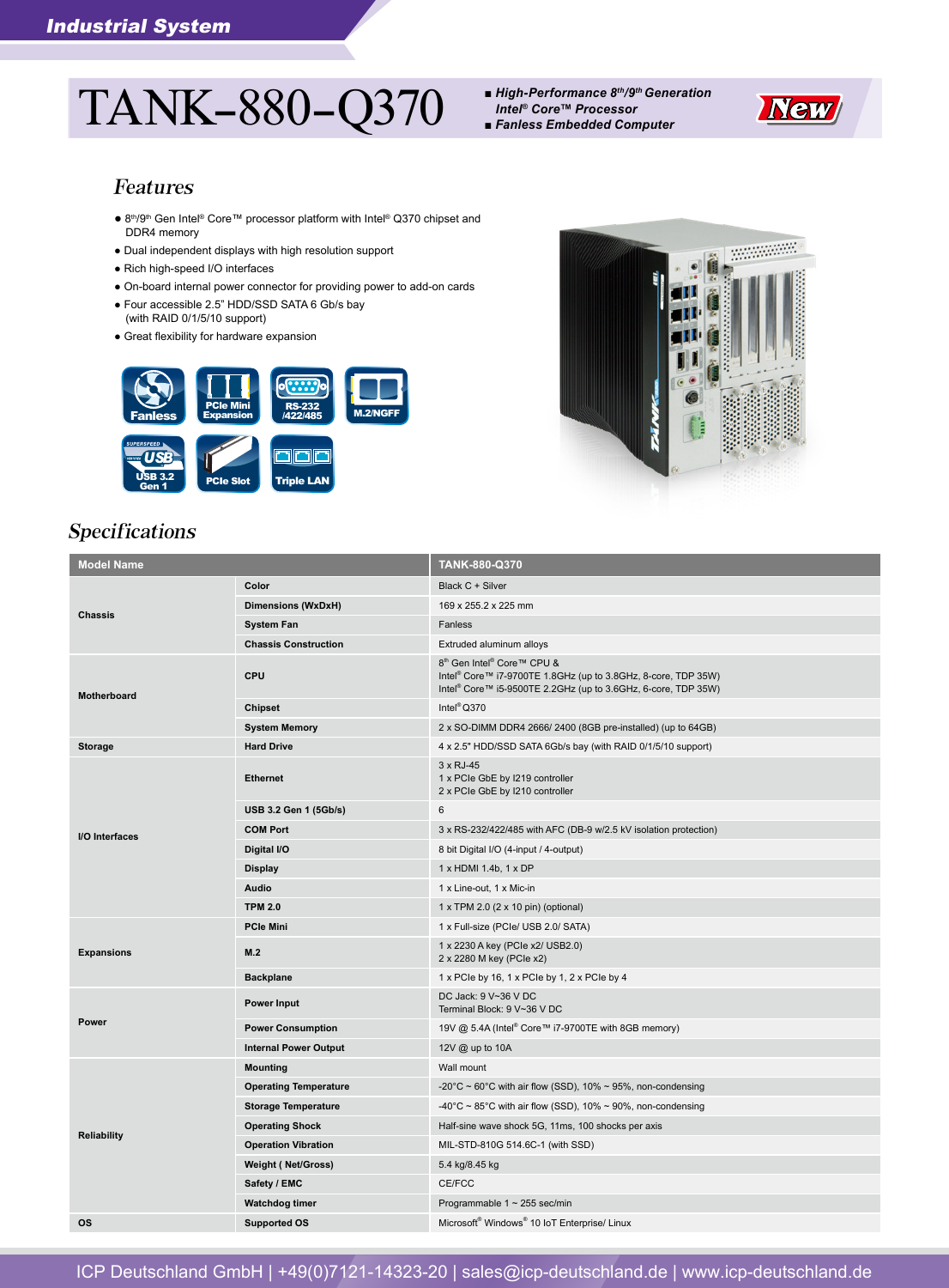# TANK-880-Q370 *■ High-Performance 8th/9th Generation*

*Intel® Core™ Processor*



*■ Fanless Embedded Computer*

#### Features

- 8<sup>th</sup>/9<sup>th</sup> Gen Intel<sup>®</sup> Core™ processor platform with Intel® Q370 chipset and DDR4 memory
- Dual independent displays with high resolution support
- Rich high-speed I/O interfaces
- On-board internal power connector for providing power to add-on cards
- Four accessible 2.5" HDD/SSD SATA 6 Gb/s bay (with RAID 0/1/5/10 support)
- Great flexibility for hardware expansion





# Specifications

| <b>Model Name</b>  |                              | TANK-880-Q370                                                                                                                                                                                                |
|--------------------|------------------------------|--------------------------------------------------------------------------------------------------------------------------------------------------------------------------------------------------------------|
| <b>Chassis</b>     | Color                        | Black C + Silver                                                                                                                                                                                             |
|                    | Dimensions (WxDxH)           | 169 x 255.2 x 225 mm                                                                                                                                                                                         |
|                    | <b>System Fan</b>            | Fanless                                                                                                                                                                                                      |
|                    | <b>Chassis Construction</b>  | Extruded aluminum alloys                                                                                                                                                                                     |
| <b>Motherboard</b> | CPU                          | 8 <sup>th</sup> Gen Intel <sup>®</sup> Core™ CPU &<br>Intel <sup>®</sup> Core™ i7-9700TE 1.8GHz (up to 3.8GHz, 8-core, TDP 35W)<br>Intel <sup>®</sup> Core™ i5-9500TE 2.2GHz (up to 3.6GHz, 6-core, TDP 35W) |
|                    | Chipset                      | Intel <sup>®</sup> Q370                                                                                                                                                                                      |
|                    | <b>System Memory</b>         | 2 x SO-DIMM DDR4 2666/2400 (8GB pre-installed) (up to 64GB)                                                                                                                                                  |
| <b>Storage</b>     | <b>Hard Drive</b>            | 4 x 2.5" HDD/SSD SATA 6Gb/s bay (with RAID 0/1/5/10 support)                                                                                                                                                 |
| I/O Interfaces     | <b>Ethernet</b>              | $3 \times RJ-45$<br>1 x PCIe GbE by I219 controller<br>2 x PCIe GbE by I210 controller                                                                                                                       |
|                    | USB 3.2 Gen 1 (5Gb/s)        | 6                                                                                                                                                                                                            |
|                    | <b>COM Port</b>              | 3 x RS-232/422/485 with AFC (DB-9 w/2.5 kV isolation protection)                                                                                                                                             |
|                    | Digital I/O                  | 8 bit Digital I/O (4-input / 4-output)                                                                                                                                                                       |
|                    | <b>Display</b>               | 1 x HDMI 1.4b, 1 x DP                                                                                                                                                                                        |
|                    | Audio                        | 1 x Line-out, 1 x Mic-in                                                                                                                                                                                     |
|                    | <b>TPM 2.0</b>               | 1 x TPM 2.0 (2 x 10 pin) (optional)                                                                                                                                                                          |
|                    | <b>PCIe Mini</b>             | 1 x Full-size (PCIe/ USB 2.0/ SATA)                                                                                                                                                                          |
| <b>Expansions</b>  | M.2                          | 1 x 2230 A key (PCle x2/ USB2.0)<br>2 x 2280 M key (PCle x2)                                                                                                                                                 |
|                    | <b>Backplane</b>             | 1 x PCIe by 16, 1 x PCIe by 1, 2 x PCIe by 4                                                                                                                                                                 |
| Power              | <b>Power Input</b>           | DC Jack: 9 V~36 V DC<br>Terminal Block: 9 V~36 V DC                                                                                                                                                          |
|                    | <b>Power Consumption</b>     | 19V @ 5.4A (Intel <sup>®</sup> Core™ i7-9700TE with 8GB memory)                                                                                                                                              |
|                    | <b>Internal Power Output</b> | 12V @ up to 10A                                                                                                                                                                                              |
| <b>Reliability</b> | <b>Mounting</b>              | Wall mount                                                                                                                                                                                                   |
|                    | <b>Operating Temperature</b> | -20°C ~ 60°C with air flow (SSD), 10% ~ 95%, non-condensing                                                                                                                                                  |
|                    | <b>Storage Temperature</b>   | -40°C ~ 85°C with air flow (SSD), 10% ~ 90%, non-condensing                                                                                                                                                  |
|                    | <b>Operating Shock</b>       | Half-sine wave shock 5G, 11ms, 100 shocks per axis                                                                                                                                                           |
|                    | <b>Operation Vibration</b>   | MIL-STD-810G 514.6C-1 (with SSD)                                                                                                                                                                             |
|                    | <b>Weight (Net/Gross)</b>    | 5.4 kg/8.45 kg                                                                                                                                                                                               |
|                    | Safety / EMC                 | CE/FCC                                                                                                                                                                                                       |
|                    | <b>Watchdog timer</b>        | Programmable $1 \sim 255$ sec/min                                                                                                                                                                            |
| <b>OS</b>          | <b>Supported OS</b>          | Microsoft® Windows® 10 IoT Enterprise/ Linux                                                                                                                                                                 |

ICP Deutschland GmbH | +49(0)7121-14323-20 | sales@icp-deutschland.de | www.icp-deutschland.de